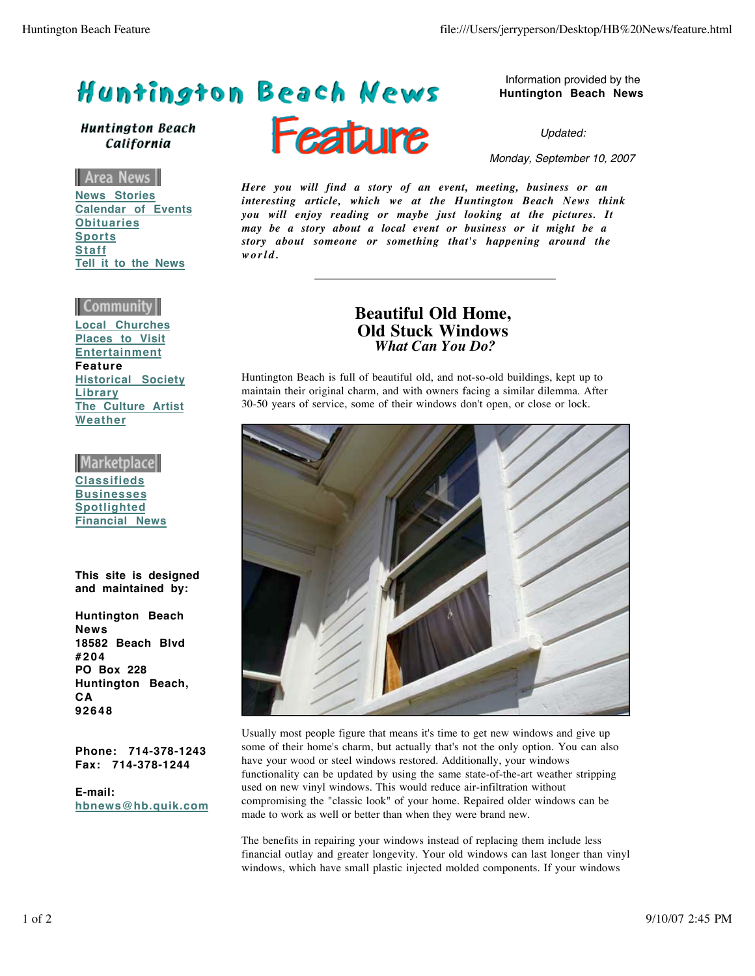## Huntington Beach News

**Huntington Beach** California

Area News I **News Stories Calendar of Events Obituaries Sports Staff Tell it to the News**

## Community

**Local Churches Places to Visit Entertainment Feature Historical Society Library The Culture Artist Weather**

|Marketplace| **Classifieds Businesses Spotlighted Financial News**

**This site is designed and maintained by:** 

**Huntington Beach News 18582 Beach Blvd #204 PO Box 228 Huntington Beach, CA 92648**

**Phone: 714-378-1243 Fax: 714-378-1244**

**E-mail: hbnews@hb.quik.com**



Information provided by the **Huntington Beach News**

Updated:

Monday, September 10, 2007

*Here you will find a story of an event, meeting, business or an interesting article, which we at the Huntington Beach News think you will enjoy reading or maybe just looking at the pictures. It may be a story about a local event or business or it might be a story about someone or something that's happening around the world.*

## **Beautiful Old Home, Old Stuck Windows** *What Can You Do?*

Huntington Beach is full of beautiful old, and not-so-old buildings, kept up to maintain their original charm, and with owners facing a similar dilemma. After 30-50 years of service, some of their windows don't open, or close or lock.



Usually most people figure that means it's time to get new windows and give up some of their home's charm, but actually that's not the only option. You can also have your wood or steel windows restored. Additionally, your windows functionality can be updated by using the same state-of-the-art weather stripping used on new vinyl windows. This would reduce air-infiltration without compromising the "classic look" of your home. Repaired older windows can be made to work as well or better than when they were brand new.

The benefits in repairing your windows instead of replacing them include less financial outlay and greater longevity. Your old windows can last longer than vinyl windows, which have small plastic injected molded components. If your windows